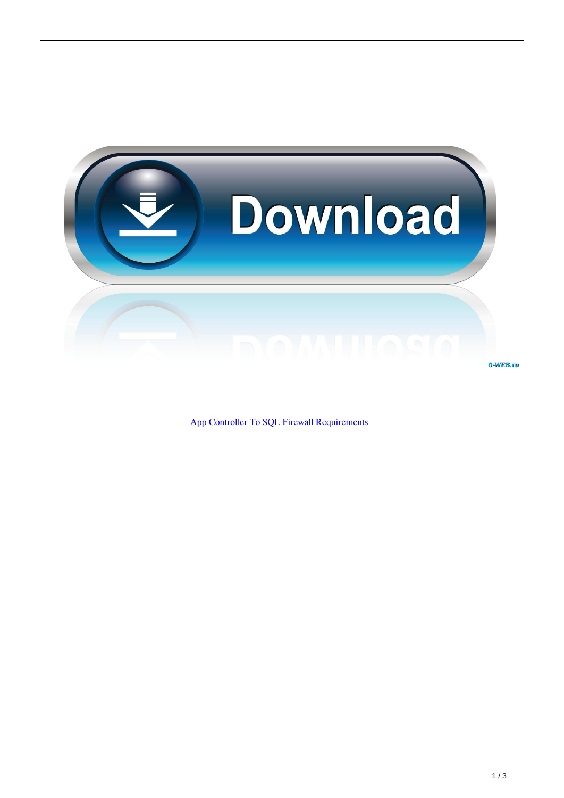

[App Controller To SQL Firewall Requirements](http://bltlly.com/1g9vv0)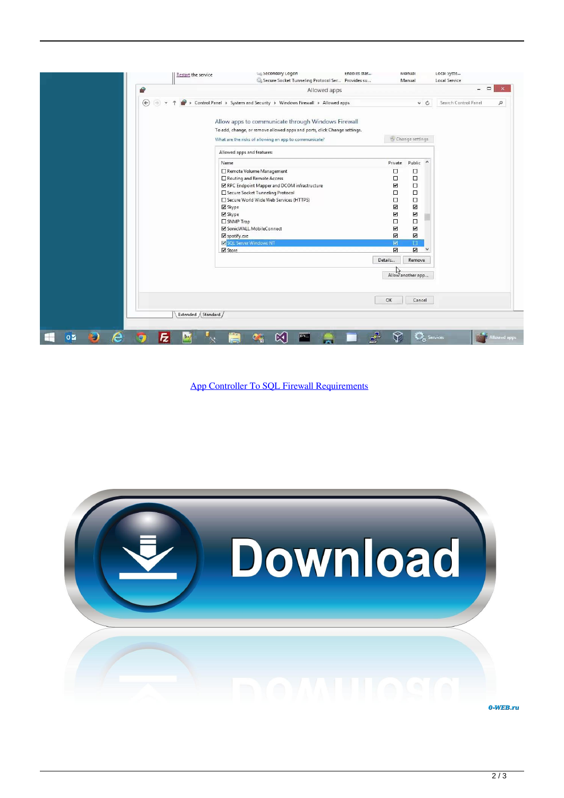|                                                  | <b>Restart the service</b>                            | becondary Logon<br>Secure Socket Tunneling Protocol Ser Provides su      | chaples star |                          | <b>INIANUAL</b><br>Manual               | LOCAI DYSTE<br>Local Service |                     |
|--------------------------------------------------|-------------------------------------------------------|--------------------------------------------------------------------------|--------------|--------------------------|-----------------------------------------|------------------------------|---------------------|
| Q                                                | Allowed apps                                          |                                                                          |              |                          |                                         | $\Box$<br>-                  |                     |
| $\circledast$                                    |                                                       | > Control Panel > System and Security > Windows Firewall > Allowed apps  |              |                          | $\times$ $C$                            | Search Control Panel         | ٩                   |
|                                                  |                                                       |                                                                          |              |                          |                                         |                              |                     |
|                                                  |                                                       | Allow apps to communicate through Windows Firewall                       |              |                          |                                         |                              |                     |
|                                                  |                                                       | To add, change, or remove allowed apps and ports, click Change settings. |              |                          |                                         |                              |                     |
|                                                  | What are the risks of allowing an app to communicate? |                                                                          |              | Change settings          |                                         |                              |                     |
|                                                  |                                                       | Allowed apps and features:                                               |              |                          |                                         |                              |                     |
|                                                  | Name                                                  |                                                                          |              | Private                  | Public<br>$\wedge$                      |                              |                     |
|                                                  |                                                       | Remote Volume Management                                                 |              | □                        | □                                       |                              |                     |
|                                                  |                                                       | Routing and Remote Access                                                |              | □                        | $\Box$                                  |                              |                     |
|                                                  |                                                       | RPC Endpoint Mapper and DCOM infrastructure                              |              | Σ                        | $\Box$                                  |                              |                     |
|                                                  |                                                       | Secure Socket Tunneling Protocol                                         |              | О                        | $\Box$                                  |                              |                     |
|                                                  |                                                       | Secure World Wide Web Services (HTTPS)                                   |              | $\Box$                   | $\Box$                                  |                              |                     |
|                                                  | ■ Skype                                               |                                                                          |              | $\overline{\phantom{a}}$ | $\overline{\mathbf{v}}$                 |                              |                     |
|                                                  | <b>⊠</b> Skype                                        |                                                                          |              | $\overline{\phantom{0}}$ | $\overline{\mathbf{v}}$                 |                              |                     |
|                                                  | SNMP Trap                                             |                                                                          |              | $\Box$                   | $\Box$                                  |                              |                     |
|                                                  |                                                       | SonicWALL.MobileConnect                                                  |              | ☑                        | $\overline{\mathbf{v}}$                 |                              |                     |
|                                                  | spotify.exe                                           |                                                                          |              | N                        | $\overline{\mathbf{v}}$                 |                              |                     |
|                                                  |                                                       | SQL Server Windows NT                                                    |              | 図                        | $\Box$                                  |                              |                     |
|                                                  | Store                                                 |                                                                          |              | Ø                        | $\overline{\mathbf{z}}$<br>$\checkmark$ |                              |                     |
|                                                  |                                                       |                                                                          |              | Details                  | Remove                                  |                              |                     |
|                                                  |                                                       |                                                                          |              |                          |                                         |                              |                     |
|                                                  |                                                       |                                                                          |              |                          | Allow another app                       |                              |                     |
|                                                  |                                                       |                                                                          |              |                          |                                         |                              |                     |
|                                                  |                                                       |                                                                          |              |                          |                                         |                              |                     |
|                                                  |                                                       |                                                                          |              |                          |                                         |                              |                     |
|                                                  |                                                       |                                                                          |              | OK                       | Cancel                                  |                              |                     |
|                                                  | Extended / Standard /                                 |                                                                          |              |                          |                                         |                              |                     |
|                                                  |                                                       |                                                                          |              |                          |                                         |                              |                     |
|                                                  |                                                       |                                                                          |              |                          |                                         |                              |                     |
| e<br>$0\,$ $\blacksquare$<br>$\mathbb{R}^+$<br>Ð |                                                       | $c_{i+1}$                                                                | 呼            |                          | <b>O</b> <sub>c</sub> Services          |                              | <b>Allowed apps</b> |

[App Controller To SQL Firewall Requirements](http://bltlly.com/1g9vv0)